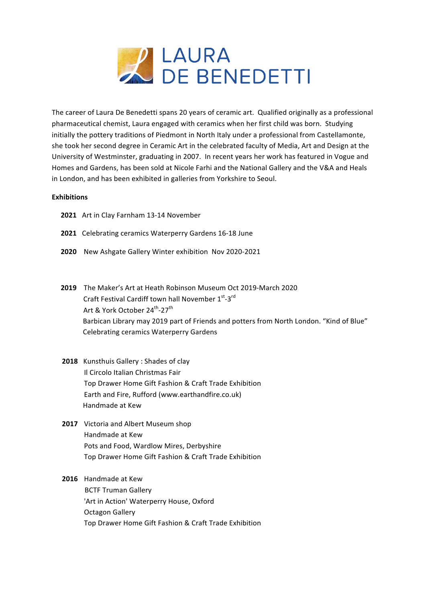

The career of Laura De Benedetti spans 20 years of ceramic art. Qualified originally as a professional pharmaceutical chemist, Laura engaged with ceramics when her first child was born. Studying initially the pottery traditions of Piedmont in North Italy under a professional from Castellamonte, she took her second degree in Ceramic Art in the celebrated faculty of Media, Art and Design at the University of Westminster, graduating in 2007. In recent years her work has featured in Vogue and Homes and Gardens, has been sold at Nicole Farhi and the National Gallery and the V&A and Heals in London, and has been exhibited in galleries from Yorkshire to Seoul.

# **Exhibitions**

- **2021** Art in Clay Farnham 13-14 November
- **2021** Celebrating ceramics Waterperry Gardens 16-18 June
- **2020** New Ashgate Gallery Winter exhibition Nov 2020-2021
- **2019** The Maker's Art at Heath Robinson Museum Oct 2019-March 2020 Craft Festival Cardiff town hall November  $1^{st}$ -3rd Art & York October 24<sup>th</sup>-27<sup>th</sup> Barbican Library may 2019 part of Friends and potters from North London. "Kind of Blue" Celebrating ceramics Waterperry Gardens
- **2018** Kunsthuis Gallery : Shades of clay Il Circolo Italian Christmas Fair Top Drawer Home Gift Fashion & Craft Trade Exhibition Earth and Fire, Rufford (www.earthandfire.co.uk) Handmade at Kew
- **2017** Victoria and Albert Museum shop Handmade at Kew Pots and Food, Wardlow Mires, Derbyshire Top Drawer Home Gift Fashion & Craft Trade Exhibition

# **2016** Handmade at Kew

**BCTF Truman Gallery** 'Art in Action' Waterperry House, Oxford Octagon Gallery Top Drawer Home Gift Fashion & Craft Trade Exhibition